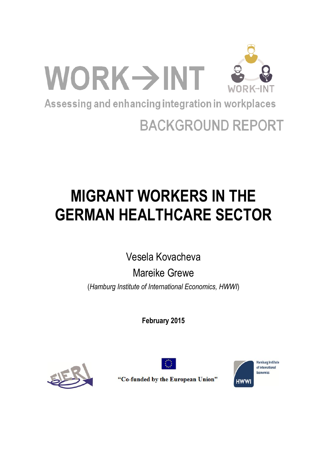

# **BACKGROUND REPORT**

# **MIGRANT WORKERS IN THE GERMAN HEALTHCARE SECTOR**

Vesela Kovacheva

Mareike Grewe (*Hamburg Institute of International Economics, HWWI*)

**February 2015**





**Hamburg Institute** of International Fronomics **HWWI** 

"Co-funded by the European Union"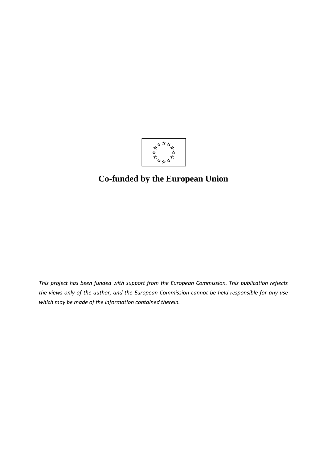

# **Co-funded by the European Union**

*This project has been funded with support from the European Commission. This publication reflects the views only of the author, and the European Commission cannot be held responsible for any use which may be made of the information contained therein.*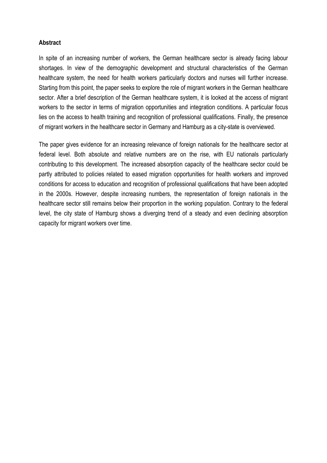#### **Abstract**

In spite of an increasing number of workers, the German healthcare sector is already facing labour shortages. In view of the demographic development and structural characteristics of the German healthcare system, the need for health workers particularly doctors and nurses will further increase. Starting from this point, the paper seeks to explore the role of migrant workers in the German healthcare sector. After a brief description of the German healthcare system, it is looked at the access of migrant workers to the sector in terms of migration opportunities and integration conditions. A particular focus lies on the access to health training and recognition of professional qualifications. Finally, the presence of migrant workers in the healthcare sector in Germany and Hamburg as a city-state is overviewed.

The paper gives evidence for an increasing relevance of foreign nationals for the healthcare sector at federal level. Both absolute and relative numbers are on the rise, with EU nationals particularly contributing to this development. The increased absorption capacity of the healthcare sector could be partly attributed to policies related to eased migration opportunities for health workers and improved conditions for access to education and recognition of professional qualifications that have been adopted in the 2000s. However, despite increasing numbers, the representation of foreign nationals in the healthcare sector still remains below their proportion in the working population. Contrary to the federal level, the city state of Hamburg shows a diverging trend of a steady and even declining absorption capacity for migrant workers over time.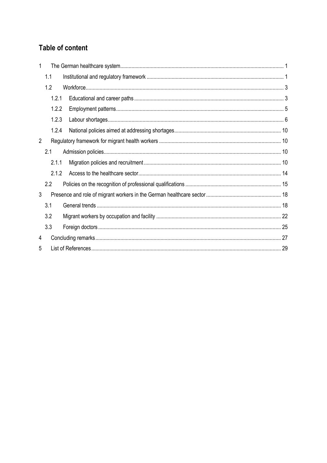# Table of content

| 1              |       |  |  |  |  |  |
|----------------|-------|--|--|--|--|--|
|                | 1.1   |  |  |  |  |  |
|                | 1.2   |  |  |  |  |  |
|                | 1.2.1 |  |  |  |  |  |
|                | 1.2.2 |  |  |  |  |  |
|                | 1.2.3 |  |  |  |  |  |
|                | 1.2.4 |  |  |  |  |  |
| $\overline{2}$ |       |  |  |  |  |  |
|                | 2.1   |  |  |  |  |  |
|                | 2.1.1 |  |  |  |  |  |
|                | 2.1.2 |  |  |  |  |  |
|                | 2.2   |  |  |  |  |  |
| 3              |       |  |  |  |  |  |
|                | 3.1   |  |  |  |  |  |
|                | 3.2   |  |  |  |  |  |
|                | 3.3   |  |  |  |  |  |
| 4              |       |  |  |  |  |  |
| 5              |       |  |  |  |  |  |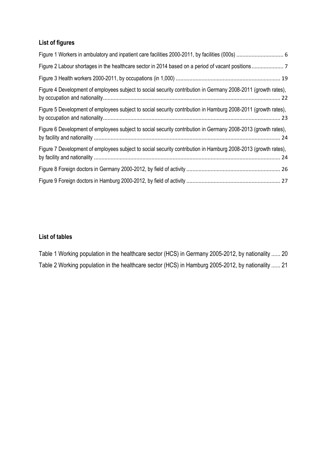# **List of figures**

| Figure 4 Development of employees subject to social security contribution in Germany 2008-2011 (growth rates), |
|----------------------------------------------------------------------------------------------------------------|
| Figure 5 Development of employees subject to social security contribution in Hamburg 2008-2011 (growth rates), |
| Figure 6 Development of employees subject to social security contribution in Germany 2008-2013 (growth rates), |
| Figure 7 Development of employees subject to social security contribution in Hamburg 2008-2013 (growth rates), |
|                                                                                                                |
|                                                                                                                |

# **List of tables**

Table 1 Working population in the healthcare [sector \(HCS\) in Germany 2005-2012, by nationality](#page-24-0) ...... 20 Table 2 Working population in the healthcare [sector \(HCS\) in Hamburg 2005-2012, by nationality](#page-25-0) ...... 21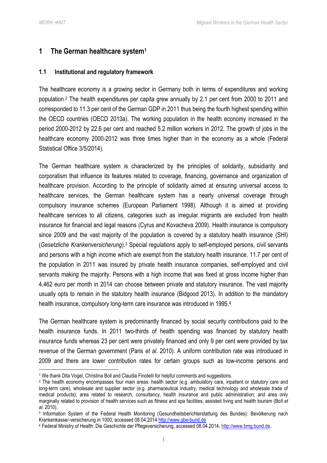**.** 

# <span id="page-5-0"></span>**1 The German healthcare system<sup>1</sup>**

#### <span id="page-5-1"></span>**1.1 Institutional and regulatory framework**

The healthcare economy is a growing sector in Germany both in terms of expenditures and working population.<sup>2</sup> The health expenditures per capita grew annually by 2.1 per cent from 2000 to 2011 and corresponded to 11.3 per cent of the German GDP in 2011 thus being the fourth highest spending within the OECD countries (OECD 2013a). The working population in the health economy increased in the period 2000-2012 by 22.6 per cent and reached 5.2 million workers in 2012. The growth of jobs in the healthcare economy 2000-2012 was three times higher than in the economy as a whole (Federal Statistical Office 3/5/2014).

The German healthcare system is characterized by the principles of solidarity, subsidiarity and corporatism that influence its features related to coverage, financing, governance and organization of healthcare provision. According to the principle of solidarity aimed at ensuring universal access to healthcare services, the German healthcare system has a nearly universal coverage through compulsory insurance schemes (European Parliament 1998). Although it is aimed at providing healthcare services to all citizens, categories such as irregular migrants are excluded from health insurance for financial and legal reasons (Cyrus and Kovacheva 2009). Health insurance is compulsory since 2009 and the vast majority of the population is covered by a statutory health insurance (SHI) (*Gesetzliche Krankenversicherung*). <sup>3</sup> Special regulations apply to self-employed persons, civil servants and persons with a high income which are exempt from the statutory health insurance. 11.7 per cent of the population in 2011 was insured by private health insurance companies, self-employed and civil servants making the majority. Persons with a high income that was fixed at gross income higher than 4,462 euro per month in 2014 can choose between private and statutory insurance. The vast majority usually opts to remain in the statutory health insurance (Bidgood 2013). In addition to the mandatory health insurance, compulsory long-term care insurance was introduced in 1995.<sup>4</sup>

The German healthcare system is predominantly financed by social security contributions paid to the health insurance funds. In 2011 two-thirds of health spending was financed by statutory health insurance funds whereas 23 per cent were privately financed and only 9 per cent were provided by tax revenue of the German government (Paris *et al*. 2010). A uniform contribution rate was introduced in 2009 and there are lower contribution rates for certain groups such as low-income persons and

<sup>&</sup>lt;sup>1</sup> We thank Dita Vogel, Christina Boll and Claudia Finotelli for helpful comments and suggestions.

<sup>&</sup>lt;sup>2</sup> The health economy encompasses four main areas: health sector (e.g. ambulatory care, inpatient or statutory care and long-term care), wholesale and supplier sector (e.g. pharmaceutical industry, medical technology and wholesale trade of medical products); area related to research, consultancy, health insurance and public administration; and area only marginally related to provision of health services such as fitness and spa facilities, assisted living and health tourism (Boll *et al*. 2010).

<sup>3</sup> Information System of the Federal Health Monitoring (Gesundheitsberichterstattung des Bundes): Bevölkerung nach Krankenkasse/-versicherung in 1000, accessed 08.04.2014 [http://www.gbe-bund.de](http://www.gbe-bund.de/)

<sup>4</sup> Federal Ministry of Health: Die Geschichte der Pflegeversicherung, accessed 08.04.2014, [http://www.bmg.bund.de.](http://www.bmg.bund.de/)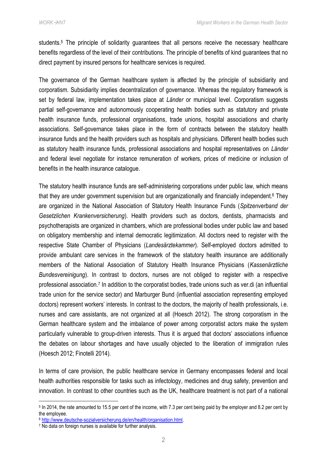students.<sup>5</sup> The principle of solidarity guarantees that all persons receive the necessary healthcare benefits regardless of the level of their contributions. The principle of benefits of kind guarantees that no direct payment by insured persons for healthcare services is required.

The governance of the German healthcare system is affected by the principle of subsidiarity and corporatism. Subsidiarity implies decentralization of governance. Whereas the regulatory framework is set by federal law, implementation takes place at *Länder* or municipal level. Corporatism suggests partial self-governance and autonomously cooperating health bodies such as statutory and private health insurance funds, professional organisations, trade unions, hospital associations and charity associations. Self-governance takes place in the form of contracts between the statutory health insurance funds and the health providers such as hospitals and physicians. Different health bodies such as statutory health insurance funds, professional associations and hospital representatives on *Länder* and federal level negotiate for instance remuneration of workers, prices of medicine or inclusion of benefits in the health insurance catalogue.

The statutory health insurance funds are self-administering corporations under public law, which means that they are under government supervision but are organizationally and financially independent.<sup>6</sup> They are organized in the National Association of Statutory Health Insurance Funds (*Spitzenverband der Gesetzlichen Krankenversicherung*). Health providers such as doctors, dentists, pharmacists and psychotherapists are organized in chambers, which are professional bodies under public law and based on obligatory membership and internal democratic legitimization. All doctors need to register with the respective State Chamber of Physicians (*Landesärztekammer*). Self-employed doctors admitted to provide ambulant care services in the framework of the statutory health insurance are additionally members of the National Association of Statutory Health Insurance Physicians (*Kassenärztliche Bundesvereinigung*). In contrast to doctors, nurses are not obliged to register with a respective professional association.<sup>7</sup> In addition to the corporatist bodies, trade unions such as ver.di (an influential trade union for the service sector) and Marburger Bund (influential association representing employed doctors) represent workers' interests. In contrast to the doctors, the majority of health professionals, i.e. nurses and care assistants, are not organized at all (Hoesch 2012). The strong corporatism in the German healthcare system and the imbalance of power among corporatist actors make the system particularly vulnerable to group-driven interests. Thus it is argued that doctors' associations influence the debates on labour shortages and have usually objected to the liberation of immigration rules (Hoesch 2012; Finotelli 2014).

In terms of care provision, the public healthcare service in Germany encompasses federal and local health authorities responsible for tasks such as infectology, medicines and drug safety, prevention and innovation. In contrast to other countries such as the UK, healthcare treatment is not part of a national

<sup>6</sup> [http://www.deutsche-sozialversicherung.de/en/health/organisation.html.](http://www.deutsche-sozialversicherung.de/en/health/organisation.html)

<sup>5</sup> In 2014, the rate amounted to 15.5 per cent of the income, with 7.3 per cent being paid by the employer and 8.2 per cent by the employee.

<sup>7</sup> No data on foreign nurses is available for further analysis.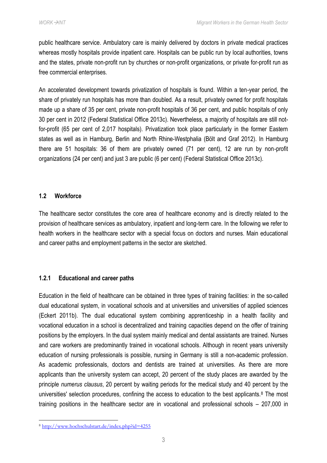public healthcare service. Ambulatory care is mainly delivered by doctors in private medical practices whereas mostly hospitals provide inpatient care. Hospitals can be public run by local authorities, towns and the states, private non-profit run by churches or non-profit organizations, or private for-profit run as free commercial enterprises.

An accelerated development towards privatization of hospitals is found. Within a ten-year period, the share of privately run hospitals has more than doubled. As a result, privately owned for profit hospitals made up a share of 35 per cent, private non-profit hospitals of 36 per cent, and public hospitals of only 30 per cent in 2012 (Federal Statistical Office 2013c). Nevertheless, a majority of hospitals are still notfor-profit (65 per cent of 2,017 hospitals). Privatization took place particularly in the former Eastern states as well as in Hamburg, Berlin and North Rhine-Westphalia (Bölt and Graf 2012). In Hamburg there are 51 hospitals: 36 of them are privately owned (71 per cent), 12 are run by non-profit organizations (24 per cent) and just 3 are public (6 per cent) (Federal Statistical Office 2013c).

#### <span id="page-7-0"></span>**1.2 Workforce**

The healthcare sector constitutes the core area of healthcare economy and is directly related to the provision of healthcare services as ambulatory, inpatient and long-term care. In the following we refer to health workers in the healthcare sector with a special focus on doctors and nurses. Main educational and career paths and employment patterns in the sector are sketched.

#### <span id="page-7-1"></span>**1.2.1 Educational and career paths**

Education in the field of healthcare can be obtained in three types of training facilities: in the so-called dual educational system, in vocational schools and at universities and universities of applied sciences (Eckert 2011b). The dual educational system combining apprenticeship in a health facility and vocational education in a school is decentralized and training capacities depend on the offer of training positions by the employers. In the dual system mainly medical and dental assistants are trained. Nurses and care workers are predominantly trained in vocational schools. Although in recent years university education of nursing professionals is possible, nursing in Germany is still a non-academic profession. As academic professionals, doctors and dentists are trained at universities. As there are more applicants than the university system can accept, 20 percent of the study places are awarded by the principle *numerus clausus*, 20 percent by waiting periods for the medical study and 40 percent by the universities' selection procedures, confining the access to education to the best applicants.<sup>8</sup> The most training positions in the healthcare sector are in vocational and professional schools – 207,000 in

<sup>8</sup> <http://www.hochschulstart.de/index.php?id=4255>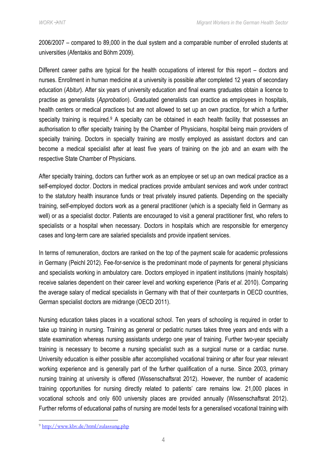2006/2007 – compared to 89,000 in the dual system and a comparable number of enrolled students at universities (Afentakis and Böhm 2009).

Different career paths are typical for the health occupations of interest for this report – doctors and nurses. Enrollment in human medicine at a university is possible after completed 12 years of secondary education (*Abitur*). After six years of university education and final exams graduates obtain a licence to practise as generalists (*Approbation*). Graduated generalists can practice as employees in hospitals, health centers or medical practices but are not allowed to set up an own practice, for which a further specialty training is required.<sup>9</sup> A specialty can be obtained in each health facility that possesses an authorisation to offer specialty training by the Chamber of Physicians, hospital being main providers of specialty training. Doctors in specialty training are mostly employed as assistant doctors and can become a medical specialist after at least five years of training on the job and an exam with the respective State Chamber of Physicians.

After specialty training, doctors can further work as an employee or set up an own medical practice as a self-employed doctor. Doctors in medical practices provide ambulant services and work under contract to the statutory health insurance funds or treat privately insured patients. Depending on the specialty training, self-employed doctors work as a general practitioner (which is a specialty field in Germany as well) or as a specialist doctor. Patients are encouraged to visit a general practitioner first, who refers to specialists or a hospital when necessary. Doctors in hospitals which are responsible for emergency cases and long-term care are salaried specialists and provide inpatient services.

In terms of remuneration, doctors are ranked on the top of the payment scale for academic professions in Germany (Peichl 2012). Fee-for-service is the predominant mode of payments for general physicians and specialists working in ambulatory care. Doctors employed in inpatient institutions (mainly hospitals) receive salaries dependent on their career level and working experience (Paris *et al*. 2010). Comparing the average salary of medical specialists in Germany with that of their counterparts in OECD countries, German specialist doctors are midrange (OECD 2011).

Nursing education takes places in a vocational school. Ten years of schooling is required in order to take up training in nursing. Training as general or pediatric nurses takes three years and ends with a state examination whereas nursing assistants undergo one year of training. Further two-year specialty training is necessary to become a nursing specialist such as a surgical nurse or a cardiac nurse. University education is either possible after accomplished vocational training or after four year relevant working experience and is generally part of the further qualification of a nurse. Since 2003, primary nursing training at university is offered (Wissenschaftsrat 2012). However, the number of academic training opportunities for nursing directly related to patients' care remains low. 21,000 places in vocational schools and only 600 university places are provided annually (Wissenschaftsrat 2012). Further reforms of educational paths of nursing are model tests for a generalised vocational training with

<sup>9</sup> <http://www.kbv.de/html/zulassung.php>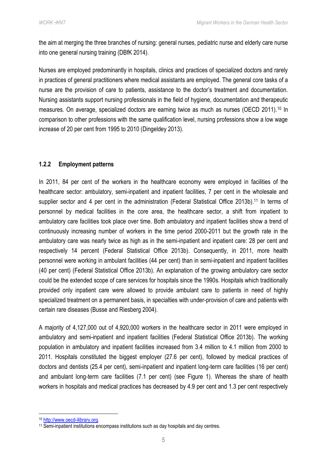the aim at merging the three branches of nursing: general nurses, pediatric nurse and elderly care nurse into one general nursing training (DBfK 2014).

Nurses are employed predominantly in hospitals, clinics and practices of specialized doctors and rarely in practices of general practitioners where medical assistants are employed. The general core tasks of a nurse are the provision of care to patients, assistance to the doctor's treatment and documentation. Nursing assistants support nursing professionals in the field of hygiene, documentation and therapeutic measures. On average, specialized doctors are earning twice as much as nurses (OECD 2011).<sup>10</sup> In comparison to other professions with the same qualification level, nursing professions show a low wage increase of 20 per cent from 1995 to 2010 (Dingeldey 2013).

#### <span id="page-9-0"></span>**1.2.2 Employment patterns**

In 2011, 84 per cent of the workers in the healthcare economy were employed in facilities of the healthcare sector: ambulatory, semi-inpatient and inpatient facilities, 7 per cent in the wholesale and supplier sector and 4 per cent in the administration (Federal Statistical Office 2013b).<sup>11</sup> In terms of personnel by medical facilities in the core area, the healthcare sector, a shift from inpatient to ambulatory care facilities took place over time. Both ambulatory and inpatient facilities show a trend of continuously increasing number of workers in the time period 2000-2011 but the growth rate in the ambulatory care was nearly twice as high as in the semi-inpatient and inpatient care: 28 per cent and respectively 14 percent (Federal Statistical Office 2013b). Consequently, in 2011, more health personnel were working in ambulant facilities (44 per cent) than in semi-inpatient and inpatient facilities (40 per cent) (Federal Statistical Office 2013b). An explanation of the growing ambulatory care sector could be the extended scope of care services for hospitals since the 1990s. Hospitals which traditionally provided only inpatient care were allowed to provide ambulant care to patients in need of highly specialized treatment on a permanent basis, in specialties with under-provision of care and patients with certain rare diseases (Busse and Riesberg 2004).

A majority of 4,127,000 out of 4,920,000 workers in the healthcare sector in 2011 were employed in ambulatory and semi-inpatient and inpatient facilities (Federal Statistical Office 2013b). The working population in ambulatory and inpatient facilities increased from 3.4 million to 4.1 million from 2000 to 2011. Hospitals constituted the biggest employer (27.6 per cent), followed by medical practices of doctors and dentists (25.4 per cent), semi-inpatient and inpatient long-term care facilities (16 per cent) and ambulant long-term care facilities (7.1 per cent) (see [Figure 1\)](#page-10-1). Whereas the share of health workers in hospitals and medical practices has decreased by 4.9 per cent and 1.3 per cent respectively

<sup>10</sup> [http://www.oecd-ilibrary.org.](http://www.oecd-ilibrary.org/sites/gov_glance-2011-en/06/02/index.html?itemId=/content/chapter/gov_glance-2011-32-en)

<sup>&</sup>lt;sup>11</sup> Semi-inpatient institutions encompass institutions such as day hospitals and day centres.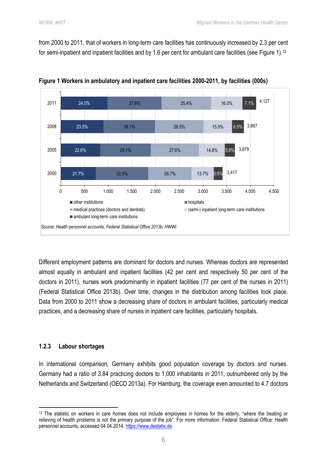from 2000 to 2011, that of workers in long-term care facilities has continuously increased by 2.3 per cent for semi-inpatient and inpatient facilities and by 1.6 per cent for ambulant care facilities (see [Figure 1\)](#page-10-1).<sup>12</sup>



<span id="page-10-1"></span>**Figure 1 Workers in ambulatory and inpatient care facilities 2000-2011, by facilities (000s)**

Different employment patterns are dominant for doctors and nurses. Whereas doctors are represented almost equally in ambulant and inpatient facilities (42 per cent and respectively 50 per cent of the doctors in 2011), nurses work predominantly in inpatient facilities (77 per cent of the nurses in 2011) (Federal Statistical Office 2013b). Over time, changes in the distribution among facilities took place. Data from 2000 to 2011 show a decreasing share of doctors in ambulant facilities, particularly medical practices, and a decreasing share of nurses in inpatient care facilities, particularly hospitals.

#### <span id="page-10-0"></span>**1.2.3 Labour shortages**

1

In international comparison, Germany exhibits good population coverage by doctors and nurses. Germany had a ratio of 3.84 practicing doctors to 1,000 inhabitants in 2011, outnumbered only by the Netherlands and Switzerland (OECD 2013a). For Hamburg, the coverage even amounted to 4.7 doctors

<sup>12</sup> The statistic on workers in care homes does not include employees in homes for the elderly, "where the treating or relieving of health problems is not the primary purpose of the job". For more information: Federal Statistical Office: Health personnel accounts, accessed 04.04.2014, [https://www.destatis.de.](https://www.destatis.de/)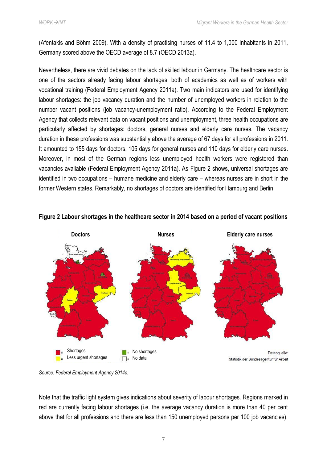(Afentakis and Böhm 2009). With a density of practising nurses of 11.4 to 1,000 inhabitants in 2011, Germany scored above the OECD average of 8.7 (OECD 2013a).

Nevertheless, there are vivid debates on the lack of skilled labour in Germany. The healthcare sector is one of the sectors already facing labour shortages, both of academics as well as of workers with vocational training (Federal Employment Agency 2011a). Two main indicators are used for identifying labour shortages: the job vacancy duration and the number of unemployed workers in relation to the number vacant positions (job vacancy-unemployment ratio). According to the Federal Employment Agency that collects relevant data on vacant positions and unemployment, three health occupations are particularly affected by shortages: doctors, general nurses and elderly care nurses. The vacancy duration in these professions was substantially above the average of 67 days for all professions in 2011. It amounted to 155 days for doctors, 105 days for general nurses and 110 days for elderly care nurses. Moreover, in most of the German regions less unemployed health workers were registered than vacancies available (Federal Employment Agency 2011a). As [Figure 2](#page-11-0) shows, universal shortages are identified in two occupations – humane medicine and elderly care – whereas nurses are in short in the former Western states. Remarkably, no shortages of doctors are identified for Hamburg and Berlin.



#### <span id="page-11-0"></span>**Figure 2 Labour shortages in the healthcare sector in 2014 based on a period of vacant positions**

*Source: Federal Employment Agency 2014c*.

Note that the traffic light system gives indications about severity of labour shortages. Regions marked in red are currently facing labour shortages (i.e. the average vacancy duration is more than 40 per cent above that for all professions and there are less than 150 unemployed persons per 100 job vacancies).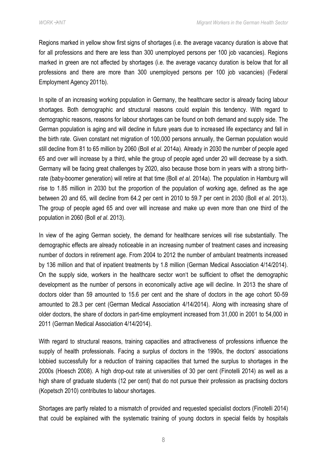Regions marked in yellow show first signs of shortages (i.e. the average vacancy duration is above that for all professions and there are less than 300 unemployed persons per 100 job vacancies). Regions marked in green are not affected by shortages (i.e. the average vacancy duration is below that for all professions and there are more than 300 unemployed persons per 100 job vacancies) (Federal Employment Agency 2011b).

In spite of an increasing working population in Germany, the healthcare sector is already facing labour shortages. Both demographic and structural reasons could explain this tendency. With regard to demographic reasons, reasons for labour shortages can be found on both demand and supply side. The German population is aging and will decline in future years due to increased life expectancy and fall in the birth rate. Given constant net migration of 100,000 persons annually, the German population would still decline from 81 to 65 million by 2060 (Boll *et al*. 2014a). Already in 2030 the number of people aged 65 and over will increase by a third, while the group of people aged under 20 will decrease by a sixth. Germany will be facing great challenges by 2020, also because those born in years with a strong birthrate (baby-boomer generation) will retire at that time (Boll *et al*. 2014a). The population in Hamburg will rise to 1.85 million in 2030 but the proportion of the population of working age, defined as the age between 20 and 65, will decline from 64.2 per cent in 2010 to 59.7 per cent in 2030 (Boll *et al*. 2013). The group of people aged 65 and over will increase and make up even more than one third of the population in 2060 (Boll *et al*. 2013).

In view of the aging German society, the demand for healthcare services will rise substantially. The demographic effects are already noticeable in an increasing number of treatment cases and increasing number of doctors in retirement age. From 2004 to 2012 the number of ambulant treatments increased by 136 million and that of inpatient treatments by 1.8 million (German Medical Association 4/14/2014). On the supply side, workers in the healthcare sector won't be sufficient to offset the demographic development as the number of persons in economically active age will decline. In 2013 the share of doctors older than 59 amounted to 15.6 per cent and the share of doctors in the age cohort 50-59 amounted to 28.3 per cent (German Medical Association 4/14/2014). Along with increasing share of older doctors, the share of doctors in part-time employment increased from 31,000 in 2001 to 54,000 in 2011 (German Medical Association 4/14/2014).

With regard to structural reasons, training capacities and attractiveness of professions influence the supply of health professionals. Facing a surplus of doctors in the 1990s, the doctors' associations lobbied successfully for a reduction of training capacities that turned the surplus to shortages in the 2000s (Hoesch 2008). A high drop-out rate at universities of 30 per cent (Finotelli 2014) as well as a high share of graduate students (12 per cent) that do not pursue their profession as practising doctors (Kopetsch 2010) contributes to labour shortages.

Shortages are partly related to a mismatch of provided and requested specialist doctors (Finotelli 2014) that could be explained with the systematic training of young doctors in special fields by hospitals

8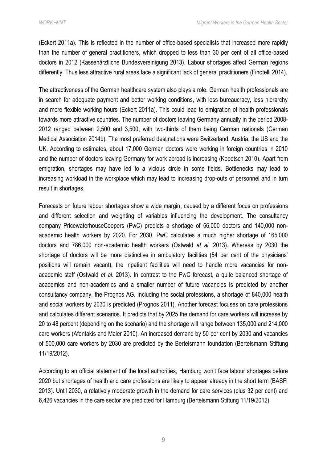(Eckert 2011a). This is reflected in the number of office-based specialists that increased more rapidly than the number of general practitioners, which dropped to less than 30 per cent of all office-based doctors in 2012 (Kassenärztliche Bundesvereinigung 2013). Labour shortages affect German regions differently. Thus less attractive rural areas face a significant lack of general practitioners (Finotelli 2014).

The attractiveness of the German healthcare system also plays a role. German health professionals are in search for adequate payment and better working conditions, with less bureaucracy, less hierarchy and more flexible working hours (Eckert 2011a). This could lead to emigration of health professionals towards more attractive countries. The number of doctors leaving Germany annually in the period 2008- 2012 ranged between 2,500 and 3,500, with two-thirds of them being German nationals (German Medical Association 2014b). The most preferred destinations were Switzerland, Austria, the US and the UK. According to estimates, about 17,000 German doctors were working in foreign countries in 2010 and the number of doctors leaving Germany for work abroad is increasing (Kopetsch 2010). Apart from emigration, shortages may have led to a vicious circle in some fields. Bottlenecks may lead to increasing workload in the workplace which may lead to increasing drop-outs of personnel and in turn result in shortages.

Forecasts on future labour shortages show a wide margin, caused by a different focus on professions and different selection and weighting of variables influencing the development. The consultancy company PricewaterhouseCoopers (PwC) predicts a shortage of 56,000 doctors and 140,000 nonacademic health workers by 2020. For 2030, PwC calculates a much higher shortage of 165,000 doctors and 786,000 non-academic health workers (Ostwald *et al*. 2013). Whereas by 2030 the shortage of doctors will be more distinctive in ambulatory facilities (54 per cent of the physicians' positions will remain vacant), the inpatient facilities will need to handle more vacancies for nonacademic staff (Ostwald *et al*. 2013). In contrast to the PwC forecast, a quite balanced shortage of academics and non-academics and a smaller number of future vacancies is predicted by another consultancy company, the Prognos AG. Including the social professions, a shortage of 840,000 health and social workers by 2030 is predicted (Prognos 2011). Another forecast focuses on care professions and calculates different scenarios. It predicts that by 2025 the demand for care workers will increase by 20 to 48 percent (depending on the scenario) and the shortage will range between 135,000 and 214,000 care workers (Afentakis and Maier 2010). An increased demand by 50 per cent by 2030 and vacancies of 500,000 care workers by 2030 are predicted by the Bertelsmann foundation (Bertelsmann Stiftung 11/19/2012).

According to an official statement of the local authorities, Hamburg won't face labour shortages before 2020 but shortages of health and care professions are likely to appear already in the short term (BASFI 2013). Until 2030, a relatively moderate growth in the demand for care services (plus 32 per cent) and 6,426 vacancies in the care sector are predicted for Hamburg (Bertelsmann Stiftung 11/19/2012).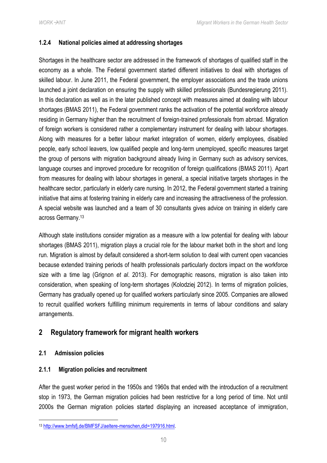# <span id="page-14-0"></span>**1.2.4 National policies aimed at addressing shortages**

Shortages in the healthcare sector are addressed in the framework of shortages of qualified staff in the economy as a whole. The Federal government started different initiatives to deal with shortages of skilled labour. In June 2011, the Federal government, the employer associations and the trade unions launched a joint declaration on ensuring the supply with skilled professionals (Bundesregierung 2011). In this declaration as well as in the later published concept with measures aimed at dealing with labour shortages (BMAS 2011), the Federal government ranks the activation of the potential workforce already residing in Germany higher than the recruitment of foreign-trained professionals from abroad. Migration of foreign workers is considered rather a complementary instrument for dealing with labour shortages. Along with measures for a better labour market integration of women, elderly employees, disabled people, early school leavers, low qualified people and long-term unemployed, specific measures target the group of persons with migration background already living in Germany such as advisory services, language courses and improved procedure for recognition of foreign qualifications (BMAS 2011). Apart from measures for dealing with labour shortages in general, a special initiative targets shortages in the healthcare sector, particularly in elderly care nursing. In 2012, the Federal government started a training initiative that aims at fostering training in elderly care and increasing the attractiveness of the profession. A special website was launched and a team of 30 consultants gives advice on training in elderly care across Germany.<sup>13</sup>

Although state institutions consider migration as a measure with a low potential for dealing with labour shortages (BMAS 2011), migration plays a crucial role for the labour market both in the short and long run. Migration is almost by default considered a short-term solution to deal with current open vacancies because extended training periods of health professionals particularly doctors impact on the workforce size with a time lag (Grignon *et al*. 2013). For demographic reasons, migration is also taken into consideration, when speaking of long-term shortages (Kolodziej 2012). In terms of migration policies, Germany has gradually opened up for qualified workers particularly since 2005. Companies are allowed to recruit qualified workers fulfilling minimum requirements in terms of labour conditions and salary arrangements.

# <span id="page-14-1"></span>**2 Regulatory framework for migrant health workers**

# <span id="page-14-2"></span>**2.1 Admission policies**

# <span id="page-14-3"></span>**2.1.1 Migration policies and recruitment**

After the guest worker period in the 1950s and 1960s that ended with the introduction of a recruitment stop in 1973, the German migration policies had been restrictive for a long period of time. Not until 2000s the German migration policies started displaying an increased acceptance of immigration,

 $\overline{a}$ <sup>13</sup> [http://www.bmfsfj.de/BMFSFJ/aeltere-menschen,did=197916.html.](http://www.bmfsfj.de/BMFSFJ/aeltere-menschen,did=197916.html)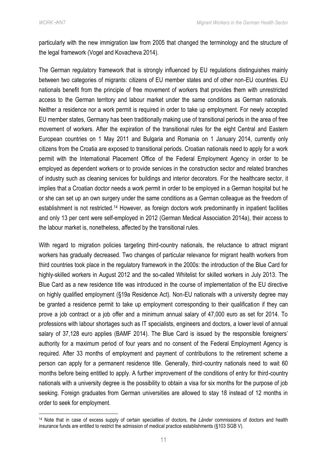**.** 

particularly with the new immigration law from 2005 that changed the terminology and the structure of the legal framework (Vogel and Kovacheva 2014).

The German regulatory framework that is strongly influenced by EU regulations distinguishes mainly between two categories of migrants: citizens of EU member states and of other non-EU countries. EU nationals benefit from the principle of free movement of workers that provides them with unrestricted access to the German territory and labour market under the same conditions as German nationals. Neither a residence nor a work permit is required in order to take up employment. For newly accepted EU member states, Germany has been traditionally making use of transitional periods in the area of free movement of workers. After the expiration of the transitional rules for the eight Central and Eastern European countries on 1 May 2011 and Bulgaria and Romania on 1 January 2014, currently only citizens from the Croatia are exposed to transitional periods. Croatian nationals need to apply for a work permit with the International Placement Office of the Federal Employment Agency in order to be employed as dependent workers or to provide services in the construction sector and related branches of industry such as cleaning services for buildings and interior decorators. For the healthcare sector, it implies that a Croatian doctor needs a work permit in order to be employed in a German hospital but he or she can set up an own surgery under the same conditions as a German colleague as the freedom of establishment is not restricted.<sup>14</sup> However, as foreign doctors work predominantly in inpatient facilities and only 13 per cent were self-employed in 2012 (German Medical Association 2014a), their access to the labour market is, nonetheless, affected by the transitional rules.

With regard to migration policies targeting third-country nationals, the reluctance to attract migrant workers has gradually decreased. Two changes of particular relevance for migrant health workers from third countries took place in the regulatory framework in the 2000s: the introduction of the Blue Card for highly-skilled workers in August 2012 and the so-called Whitelist for skilled workers in July 2013. The Blue Card as a new residence title was introduced in the course of implementation of the EU directive on highly qualified employment (§19a Residence Act). Non-EU nationals with a university degree may be granted a residence permit to take up employment corresponding to their qualification if they can prove a job contract or a job offer and a minimum annual salary of 47,000 euro as set for 2014. To professions with labour shortages such as IT specialists, engineers and doctors, a lower level of annual salary of 37,128 euro applies (BAMF 2014). The Blue Card is issued by the responsible foreigners' authority for a maximum period of four years and no consent of the Federal Employment Agency is required. After 33 months of employment and payment of contributions to the retirement scheme a person can apply for a permanent residence title. Generally, third-country nationals need to wait 60 months before being entitled to apply. A further improvement of the conditions of entry for third-country nationals with a university degree is the possibility to obtain a visa for six months for the purpose of job seeking. Foreign graduates from German universities are allowed to stay 18 instead of 12 months in order to seek for employment.

<sup>14</sup> Note that in case of excess supply of certain specialties of doctors, the *Länder* commissions of doctors and health insurance funds are entitled to restrict the admission of medical practice establishments (§103 SGB V).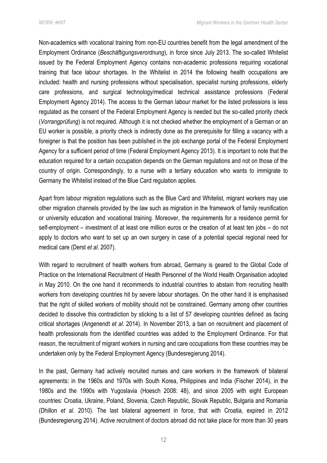Non-academics with vocational training from non-EU countries benefit from the legal amendment of the Employment Ordinance (*Beschäftigungsverordnung*), in force since July 2013. The so-called Whitelist issued by the Federal Employment Agency contains non-academic professions requiring vocational training that face labour shortages. In the Whitelist in 2014 the following health occupations are included: health and nursing professions without specialisation, specialist nursing professions, elderly care professions, and surgical technology/medical technical assistance professions (Federal Employment Agency 2014). The access to the German labour market for the listed professions is less regulated as the consent of the Federal Employment Agency is needed but the so-called priority check (*Vorrangprüfung*) is not required. Although it is not checked whether the employment of a German or an EU worker is possible, a priority check is indirectly done as the prerequisite for filling a vacancy with a foreigner is that the position has been published in the job exchange portal of the Federal Employment Agency for a sufficient period of time (Federal Employment Agency 2013). It is important to note that the education required for a certain occupation depends on the German regulations and not on those of the country of origin. Correspondingly, to a nurse with a tertiary education who wants to immigrate to Germany the Whitelist instead of the Blue Card regulation applies.

Apart from labour migration regulations such as the Blue Card and Whitelist, migrant workers may use other migration channels provided by the law such as migration in the framework of family reunification or university education and vocational training. Moreover, the requirements for a residence permit for self-employment – investment of at least one million euros or the creation of at least ten jobs – do not apply to doctors who want to set up an own surgery in case of a potential special regional need for medical care (Derst *et al*. 2007).

With regard to recruitment of health workers from abroad, Germany is geared to the Global Code of Practice on the International Recruitment of Health Personnel of the World Health Organisation adopted in May 2010. On the one hand it recommends to industrial countries to abstain from recruiting health workers from developing countries hit by severe labour shortages. On the other hand it is emphasised that the right of skilled workers of mobility should not be constrained. Germany among other countries decided to dissolve this contradiction by sticking to a list of 57 developing countries defined as facing critical shortages (Angenendt *et al*. 2014). In November 2013, a ban on recruitment and placement of health professionals from the identified countries was added to the Employment Ordinance. For that reason, the recruitment of migrant workers in nursing and care occupations from these countries may be undertaken only by the Federal Employment Agency (Bundesregierung 2014).

In the past, Germany had actively recruited nurses and care workers in the framework of bilateral agreements: in the 1960s and 1970s with South Korea, Philippines and India (Fischer 2014), in the 1980s and the 1990s with Yugoslavia (Hoesch 2008: 48), and since 2005 with eight European countries: Croatia, Ukraine, Poland, Slovenia, Czech Republic, Slovak Republic, Bulgaria and Romania (Dhillon *et al*. 2010). The last bilateral agreement in force, that with Croatia, expired in 2012 (Bundesregierung 2014). Active recruitment of doctors abroad did not take place for more than 30 years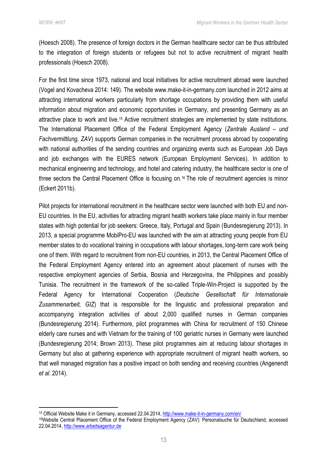(Hoesch 2008). The presence of foreign doctors in the German healthcare sector can be thus attributed to the integration of foreign students or refugees but not to active recruitment of migrant health professionals (Hoesch 2008).

For the first time since 1973, national and local initiatives for active recruitment abroad were launched (Vogel and Kovacheva 2014: 149). The website www.make-it-in-germany.com launched in 2012 aims at attracting international workers particularly from shortage occupations by providing them with useful information about migration and economic opportunities in Germany, and presenting Germany as an attractive place to work and live.<sup>15</sup> Active recruitment strategies are implemented by state institutions. The International Placement Office of the Federal Employment Agency (*Zentrale Ausland – und Fachvermittlung, ZAV*) supports German companies in the recruitment process abroad by cooperating with national authorities of the sending countries and organizing events such as European Job Days and job exchanges with the EURES network (European Employment Services). In addition to mechanical engineering and technology, and hotel and catering industry, the healthcare sector is one of three sectors the Central Placement Office is focusing on.<sup>16</sup> The role of recruitment agencies is minor (Eckert 2011b).

Pilot projects for international recruitment in the healthcare sector were launched with both EU and non-EU countries. In the EU, activities for attracting migrant health workers take place mainly in four member states with high potential for job seekers: Greece, Italy, Portugal and Spain (Bundesregierung 2013). In 2013, a special programme MobiPro-EU was launched with the aim at attracting young people from EU member states to do vocational training in occupations with labour shortages, long-term care work being one of them. With regard to recruitment from non-EU countries, in 2013, the Central Placement Office of the Federal Employment Agency entered into an agreement about placement of nurses with the respective employment agencies of Serbia, Bosnia and Herzegovina, the Philippines and possibly Tunisia. The recruitment in the framework of the so-called Triple-Win-Project is supported by the Federal Agency for International Cooperation (*Deutsche Gesellschaft für Internationale Zusammenarbeit, GIZ*) that is responsible for the linguistic and professional preparation and accompanying integration activities of about 2,000 qualified nurses in German companies (Bundesregierung 2014). Furthermore, pilot programmes with China for recruitment of 150 Chinese elderly care nurses and with Vietnam for the training of 100 geriatric nurses in Germany were launched (Bundesregierung 2014; Brown 2013). These pilot programmes aim at reducing labour shortages in Germany but also at gathering experience with appropriate recruitment of migrant health workers, so that well managed migration has a positive impact on both sending and receiving countries (Angenendt *et al*. 2014).

<sup>1</sup> <sup>15</sup> Official Website Make it in Germany, accessed 22.04.2014[, http://www.make-it-in-germany.com/en/](http://www.make-it-in-germany.com/en/)

<sup>16</sup>Website Central Placement Office of the Federal Employment Agency (ZAV): Personalsuche für Deutschland, accessed 22.04.2014[, http://www.arbeitsagentur.de](http://www.arbeitsagentur.de/)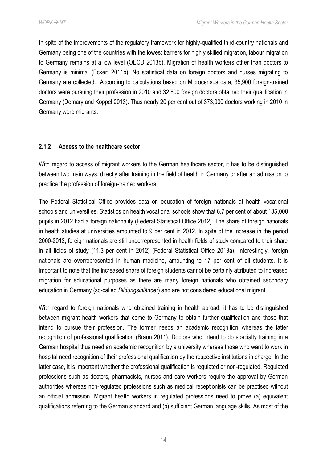In spite of the improvements of the regulatory framework for highly-qualified third-country nationals and Germany being one of the countries with the lowest barriers for highly skilled migration, labour migration to Germany remains at a low level (OECD 2013b). Migration of health workers other than doctors to Germany is minimal (Eckert 2011b). No statistical data on foreign doctors and nurses migrating to Germany are collected. According to calculations based on Microcensus data, 35,900 foreign-trained doctors were pursuing their profession in 2010 and 32,800 foreign doctors obtained their qualification in Germany (Demary and Koppel 2013). Thus nearly 20 per cent out of 373,000 doctors working in 2010 in Germany were migrants.

# <span id="page-18-0"></span>**2.1.2 Access to the healthcare sector**

With regard to access of migrant workers to the German healthcare sector, it has to be distinguished between two main ways: directly after training in the field of health in Germany or after an admission to practice the profession of foreign-trained workers.

The Federal Statistical Office provides data on education of foreign nationals at health vocational schools and universities. Statistics on health vocational schools show that 6.7 per cent of about 135,000 pupils in 2012 had a foreign nationality (Federal Statistical Office 2012). The share of foreign nationals in health studies at universities amounted to 9 per cent in 2012. In spite of the increase in the period 2000-2012, foreign nationals are still underrepresented in health fields of study compared to their share in all fields of study (11.3 per cent in 2012) (Federal Statistical Office 2013a). Interestingly, foreign nationals are overrepresented in human medicine, amounting to 17 per cent of all students. It is important to note that the increased share of foreign students cannot be certainly attributed to increased migration for educational purposes as there are many foreign nationals who obtained secondary education in Germany (so-called *Bildungsinländer*) and are not considered educational migrant.

With regard to foreign nationals who obtained training in health abroad, it has to be distinguished between migrant health workers that come to Germany to obtain further qualification and those that intend to pursue their profession. The former needs an academic recognition whereas the latter recognition of professional qualification (Braun 2011). Doctors who intend to do specialty training in a German hospital thus need an academic recognition by a university whereas those who want to work in hospital need recognition of their professional qualification by the respective institutions in charge. In the latter case, it is important whether the professional qualification is regulated or non-regulated. Regulated professions such as doctors, pharmacists, nurses and care workers require the approval by German authorities whereas non-regulated professions such as medical receptionists can be practised without an official admission. Migrant health workers in regulated professions need to prove (a) equivalent qualifications referring to the German standard and (b) sufficient German language skills. As most of the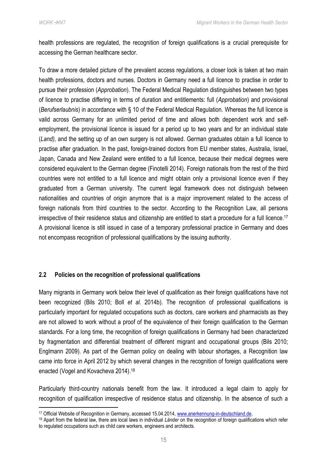1

health professions are regulated, the recognition of foreign qualifications is a crucial prerequisite for accessing the German healthcare sector.

To draw a more detailed picture of the prevalent access regulations, a closer look is taken at two main health professions, doctors and nurses. Doctors in Germany need a full licence to practise in order to pursue their profession (*Approbation*). The Federal Medical Regulation distinguishes between two types of licence to practise differing in terms of duration and entitlements: full (*Approbation*) and provisional (*Berufserlaubnis*) in accordance with § 10 of the Federal Medical Regulation. Whereas the full licence is valid across Germany for an unlimited period of time and allows both dependent work and selfemployment, the provisional licence is issued for a period up to two years and for an individual state (*Land),* and the setting up of an own surgery is not allowed. German graduates obtain a full licence to practise after graduation. In the past, foreign-trained doctors from EU member states, Australia, Israel, Japan, Canada and New Zealand were entitled to a full licence, because their medical degrees were considered equivalent to the German degree (Finotelli 2014). Foreign nationals from the rest of the third countries were not entitled to a full licence and might obtain only a provisional licence even if they graduated from a German university. The current legal framework does not distinguish between nationalities and countries of origin anymore that is a major improvement related to the access of foreign nationals from third countries to the sector. According to the Recognition Law, all persons irrespective of their residence status and citizenship are entitled to start a procedure for a full licence.<sup>17</sup> A provisional licence is still issued in case of a temporary professional practice in Germany and does not encompass recognition of professional qualifications by the issuing authority.

#### <span id="page-19-0"></span>**2.2 Policies on the recognition of professional qualifications**

Many migrants in Germany work below their level of qualification as their foreign qualifications have not been recognized (Bils [2010;](http://www.bpb.de/gesellschaft/migration/newsletter/57088/deutschland-anerkennung-von-auslaendischen-berufsabschluessen?p=1) Boll *et al*. 2014b). The recognition of professional qualifications is particularly important for regulated occupations such as doctors, care workers and pharmacists as they are not allowed to work without a proof of the equivalence of their foreign qualification to the German standards. For a long time, the recognition of foreign qualifications in Germany had been characterized by fragmentation and differential treatment of different migrant and occupational groups (Bils 2010; Englmann 2009). As part of the German policy on dealing with labour shortages, a Recognition law came into force in April 2012 by which several changes in the recognition of foreign qualifications were enacted (Vogel and Kovacheva 2014). 18

Particularly third-country nationals benefit from the law. It introduced a legal claim to apply for recognition of qualification irrespective of residence status and citizenship. In the absence of such a

<sup>17</sup> Official Website of Recognition in Germany, accessed 15.04.2014[, www.anerkennung-in-deutschland.de.](http://www.anerkennung-in-deutschland.de/)

<sup>18</sup> Apart from the federal law, there are local laws in individual *Länder* on the recognition of foreign qualifications which refer to regulated occupations such as child care workers, engineers and architects.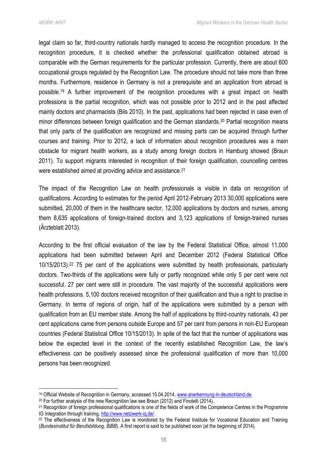$\overline{a}$ 

legal claim so far, third-country nationals hardly managed to access the recognition procedure. In the recognition procedure, it is checked whether the professional qualification obtained abroad is comparable with the German requirements for the particular profession. Currently, there are about 600 occupational groups regulated by the Recognition Law. The procedure should not take more than three months. Furthermore, residence in Germany is not a prerequisite and an application from abroad is possible.<sup>19</sup> A further improvement of the recognition procedures with a great impact on health professions is the partial recognition, which was not possible prior to 2012 and in the past affected mainly doctors and pharmacists (Bils 2010). In the past, applications had been rejected in case even of minor differences between foreign qualification and the German standards.<sup>20</sup> Partial recognition means that only parts of the qualification are recognized and missing parts can be acquired through further courses and training. Prior to 2012, a lack of information about recognition procedures was a main obstacle for migrant health workers, as a study among foreign doctors in Hamburg showed (Braun 2011). To support migrants interested in recognition of their foreign qualification, councelling centres were established aimed at providing advice and assistance.<sup>21</sup>

The impact of the Recognition Law on health professionals is visible in data on recognition of qualifications. According to estimates for the period April 2012-February 2013 30,000 applications were submitted, 20,000 of them in the healthcare sector, 12,000 applications by doctors and nurses, among them 8,635 applications of foreign-trained doctors and 3,123 applications of foreign-trained nurses (Ärzteblatt 2013).

According to the first official evaluation of the law by the Federal Statistical Office, almost 11,000 applications had been submitted between April and December 2012 (Federal Statistical Office 10/15/2013).<sup>22</sup> 75 per cent of the applications were submitted by health professionals, particularly doctors. Two-thirds of the applications were fully or partly recognized while only 5 per cent were not successful. 27 per cent were still in procedure. The vast majority of the successful applications were health professions. 5,100 doctors received recognition of their qualification and thus a right to practise in Germany. In terms of regions of origin, half of the applications were submitted by a person with qualification from an EU member state. Among the half of applications by third-country nationals, 43 per cent applications came from persons outside Europe and 57 per cent from persons in non-EU European countries (Federal Statistical Office 10/15/2013). In spite of the fact that the number of applications was below the expected level in the context of the recently established Recognition Law, the law's effectiveness can be positively assessed since the professional qualification of more than 10,000 persons has been recognized.

<sup>19</sup> Official Website of Recognition in Germany, accessed 15.04.2014[, www.anerkennung-in-deutschland.de.](http://www.anerkennung-in-deutschland.de/)

<sup>20</sup> For further analysis of the new Recognition law see Braun (2012) and Finotelli (2014).

<sup>&</sup>lt;sup>21</sup> Recognition of foreign professional qualifications is one of the fields of work of the Competence Centres in the Programme IG Integration through training, http://www.netzwerk-ig.de/.

<sup>&</sup>lt;sup>22</sup> The effectiveness of the Recognition Law is monitored by the Federal Institute for Vocational Education and Training (*Bundesinstitut für Berufsbildung, BiBB*). A first report is said to be published soon (at the beginning of 2014).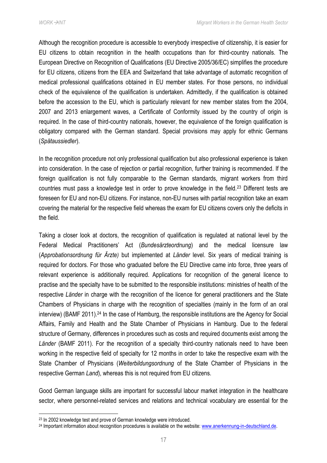Although the recognition procedure is accessible to everybody irrespective of citizenship, it is easier for EU citizens to obtain recognition in the health occupations than for third-country nationals. The European Directive on Recognition of Qualifications (EU Directive 2005/36/EC) simplifies the procedure for EU citizens, citizens from the EEA and Switzerland that take advantage of automatic recognition of medical professional qualifications obtained in EU member states. For those persons, no individual check of the equivalence of the qualification is undertaken. Admittedly, if the qualification is obtained before the accession to the EU, which is particularly relevant for new member states from the 2004, 2007 and 2013 enlargement waves, a Certificate of Conformity issued by the country of origin is required. In the case of third-country nationals, however, the equivalence of the foreign qualification is obligatory compared with the German standard. Special provisions may apply for ethnic Germans (*Spätaussiedler*).

In the recognition procedure not only professional qualification but also professional experience is taken into consideration. In the case of rejection or partial recognition, further training is recommended. If the foreign qualification is not fully comparable to the German standards, migrant workers from third countries must pass a knowledge test in order to prove knowledge in the field.<sup>23</sup> Different tests are foreseen for EU and non-EU citizens. For instance, non-EU nurses with partial recognition take an exam covering the material for the respective field whereas the exam for EU citizens covers only the deficits in the field.

Taking a closer look at doctors, the recognition of qualification is regulated at national level by the Federal Medical Practitioners' Act (*Bundesärzteordnung*) and the medical licensure law (*[Approbationsordnung für Ärzte](http://www.gesetze-im-internet.de/_appro_2002/BJNR240500002.html))* but implemented at *Länder* level. Six years of medical training is required for doctors. For those who graduated before the EU Directive came into force, three years of relevant experience is additionally required. Applications for recognition of the general licence to practise and the specialty have to be submitted to the responsible institutions: ministries of health of the respective *Länder* in charge with the recognition of the licence for general practitioners and the State Chambers of Physicians in charge with the recognition of specialties (mainly in the form of an oral interview) (BAMF 2011).<sup>24</sup> In the case of Hamburg, the responsible institutions are the Agency for Social Affairs, Family and Health and the State Chamber of Physicians in Hamburg. Due to the federal structure of Germany, differences in procedures such as costs and required documents exist among the *Länder* (BAMF 2011). For the recognition of a specialty third-country nationals need to have been working in the respective field of specialty for 12 months in order to take the respective exam with the State Chamber of Physicians (*Weiterbildungsordnung* of the State Chamber of Physicians in the respective German *Land*), whereas this is not required from EU citizens.

Good German language skills are important for successful labour market integration in the healthcare sector, where personnel-related services and relations and technical vocabulary are essential for the

<sup>23</sup> In 2002 knowledge test and prove of German knowledge were introduced.

<sup>24</sup> Important information about recognition procedures is available on the website[: www.anerkennung-in-deutschland.de.](http://www.anerkennung-in-deutschland.de/)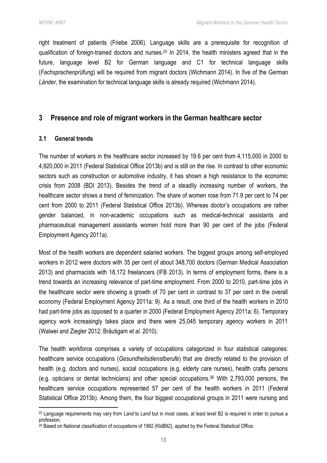right treatment of patients (Friebe 2006). Language skills are a prerequisite for recognition of qualification of foreign-trained doctors and nurses. <sup>25</sup> In 2014, the health ministers agreed that in the future, language level B2 for German language and C1 for technical language skills (*Fachsprachenprüfung*) will be required from migrant doctors (Wichmann 2014). In five of the German *Länder*, the examination for technical language skills is already required (Wichmann 2014).

# <span id="page-22-0"></span>**3 Presence and role of migrant workers in the German healthcare sector**

#### <span id="page-22-1"></span>**3.1 General trends**

1

The number of workers in the healthcare sector increased by 19.6 per cent from 4,115,000 in 2000 to 4,920,000 in 2011 (Federal Statistical Office 2013b) and is still on the rise. In contrast to other economic sectors such as construction or automotive industry, it has shown a high resistance to the economic crisis from 2008 (BDI 2013). Besides the trend of a steadily increasing number of workers, the healthcare sector shows a trend of feminization. The share of women rose from 71.9 per cent to 74 per cent from 2000 to 2011 (Federal Statistical Office 2013b). Whereas doctor's occupations are rather gender balanced, in non-academic occupations such as medical-technical assistants and pharmaceutical management assistants women hold more than 90 per cent of the jobs (Federal Employment Agency 2011a).

Most of the health workers are dependent salaried workers. The biggest groups among self-employed workers in 2012 were doctors with 35 per cent of about 348,700 doctors (German Medical Association 2013) and pharmacists with 18,172 freelancers (IFB 2013). In terms of employment forms, there is a trend towards an increasing relevance of part-time employment. From 2000 to 2010, part-time jobs in the healthcare sector were showing a growth of 70 per cent in contrast to 37 per cent in the overall economy (Federal Employment Agency 2011a: 9). As a result, one third of the health workers in 2010 had part-time jobs as opposed to a quarter in 2000 (Federal Employment Agency 2011a: 6). Temporary agency work increasingly takes place and there were 25,045 temporary agency workers in 2011 (Walwei and Ziegler 2012; Bräutigam *et al*. 2010).

The health workforce comprises a variety of occupations categorized in four statistical categories: healthcare service occupations (*Gesundheitsdienstberufe*) that are directly related to the provision of health (e.g. doctors and nurses), social occupations (e.g. elderly care nurses), health crafts persons (e.g. opticians or dental technicians) and other special occupations.<sup>26</sup> With 2,793,000 persons, the healthcare service occupations represented 57 per cent of the health workers in 2011 (Federal Statistical Office 2013b). Among them, the four biggest occupational groups in 2011 were nursing and

<sup>25</sup> Language requirements may vary from *Land* to *Land* but in most cases, at least level B2 is required in order to pursue a profession.

 $26$  Based on National classification of occupations of 1992 (KIdB92), applied by the Federal Statistical Office.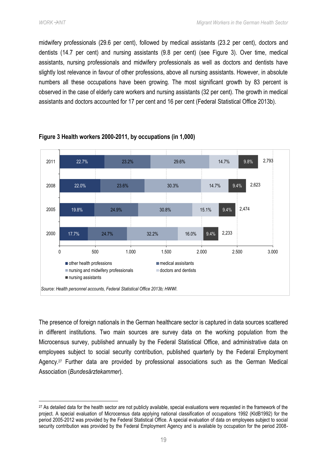**.** 

midwifery professionals (29.6 per cent), followed by medical assistants (23.2 per cent), doctors and dentists (14.7 per cent) and nursing assistants (9.8 per cent) (see [Figure 3\)](#page-23-0). Over time, medical assistants, nursing professionals and midwifery professionals as well as doctors and dentists have slightly lost relevance in favour of other professions, above all nursing assistants. However, in absolute numbers all these occupations have been growing. The most significant growth by 83 percent is observed in the case of elderly care workers and nursing assistants (32 per cent). The growth in medical assistants and doctors accounted for 17 per cent and 16 per cent (Federal Statistical Office 2013b).



#### <span id="page-23-0"></span>**Figure 3 Health workers 2000-2011, by occupations (in 1,000)**

The presence of foreign nationals in the German healthcare sector is captured in data sources scattered in different institutions. Two main sources are survey data on the working population from the Microcensus survey, published annually by the Federal Statistical Office, and administrative data on employees subject to social security contribution, published quarterly by the Federal Employment Agency.<sup>27</sup> Further data are provided by professional associations such as the German Medical Association (*Bundesärztekammer*).

<sup>&</sup>lt;sup>27</sup> As detailed data for the health sector are not publicly available, special evaluations were requested in the framework of the project. A special evaluation of Microcensus data applying national classification of occupations 1992 (KldB1992) for the period 2005-2012 was provided by the Federal Statistical Office. A special evaluation of data on employees subject to social security contribution was provided by the Federal Employment Agency and is available by occupation for the period 2008-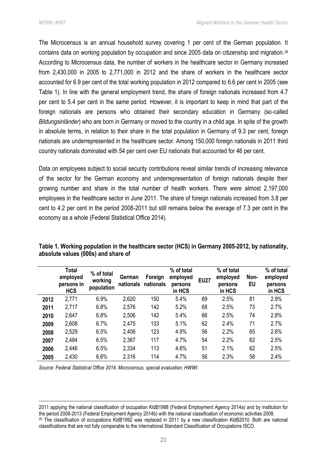The Microcensus is an annual household survey covering 1 per cent of the German population. It contains data on working population by occupation and since 2005 data on citizenship and migration.<sup>28</sup> According to Microcensus data, the number of workers in the healthcare sector in Germany increased from 2,430,000 in 2005 to 2,771,000 in 2012 and the share of workers in the healthcare sector accounted for 6.9 per cent of the total working population in 2012 compared to 6.6 per cent in 2005 (see [Table 1\)](#page-24-0). In line with the general employment trend, the share of foreign nationals increased from 4.7 per cent to 5.4 per cent in the same period. However, it is important to keep in mind that part of the foreign nationals are persons who obtained their secondary education in Germany (so-called *Bildungsinländer*) who are born in Germany or moved to the country in a child age. In spite of the growth in absolute terms, in relation to their share in the total population in Germany of 9.3 per cent, foreign nationals are underrepresented in the healthcare sector. Among 150,000 foreign nationals in 2011 third country nationals dominated with 54 per cent over EU nationals that accounted for 46 per cent.

Data on employees subject to social security contributions reveal similar trends of increasing relevance of the sector for the German economy and underrepresentation of foreign nationals despite their growing number and share in the total number of health workers. There were almost 2,197,000 employees in the healthcare sector in June 2011. The share of foreign nationals increased from 3.8 per cent to 4.2 per cent in the period 2008-2011 but still remains below the average of 7.3 per cent in the economy as a whole (Federal Statistical Office 2014).

|      | <b>Total</b><br>employed<br>persons in<br><b>HCS</b> | % of total<br>working<br>population | German<br>nationals | Foreign<br>nationals | % of total<br>employed<br>persons<br>in HCS | <b>EU27</b> | % of total<br>employed<br>persons<br>in HCS | Non-<br>EU | % of total<br>employed<br>persons<br>in HCS |
|------|------------------------------------------------------|-------------------------------------|---------------------|----------------------|---------------------------------------------|-------------|---------------------------------------------|------------|---------------------------------------------|
| 2012 | 2,771                                                | 6.9%                                | 2,620               | 150                  | 5.4%                                        | 69          | 2.5%                                        | 81         | 2.9%                                        |
| 2011 | 2,717                                                | 6.8%                                | 2,576               | 142                  | 5.2%                                        | 68          | 2.5%                                        | 73         | 2.7%                                        |
| 2010 | 2,647                                                | 6.8%                                | 2,506               | 142                  | 5.4%                                        | 66          | 2.5%                                        | 74         | 2.8%                                        |
| 2009 | 2,608                                                | 6.7%                                | 2,475               | 133                  | 5.1%                                        | 62          | 2.4%                                        | 71         | 2.7%                                        |
| 2008 | 2,529                                                | 6.5%                                | 2,406               | 123                  | 4.9%                                        | 56          | 2.2%                                        | 65         | 2.6%                                        |
| 2007 | 2,484                                                | 6.5%                                | 2,367               | 117                  | 4.7%                                        | 54          | 2.2%                                        | 62         | 2.5%                                        |
| 2006 | 2,446                                                | 6.5%                                | 2,334               | 113                  | 4.6%                                        | 51          | 2.1%                                        | 62         | 2.5%                                        |
| 2005 | 2,430                                                | 6.6%                                | 2,316               | 114                  | 4.7%                                        | 56          | 2.3%                                        | 58         | 2.4%                                        |

# <span id="page-24-0"></span>**Table 1. Working population in the healthcare sector (HCS) in Germany 2005-2012, by nationality, absolute values (000s) and share of**

*Source: Federal Statistical Office 2014, Microcensus, special evaluation; HWWI.* 

 $\overline{a}$ 2011 applying the national classification of occupation KldB1988 (Federal Employment Agency 2014a) and by institution for the period 2008-2013 (Federal Employment Agency 2014b) with the national classification of economic activities 2008. <sup>28</sup> The classification of occupations KldB1992 was replaced in 2011 by a new classification KldB2010. Both are national classifications that are not fully comparable to the International Standard Classification of Occupations ISCO.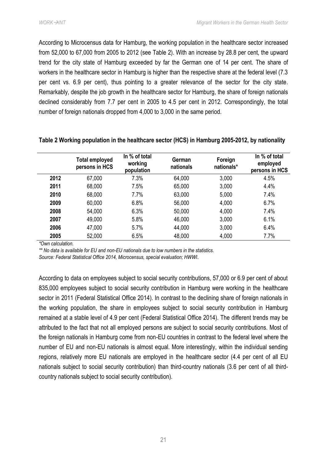According to Microcensus data for Hamburg, the working population in the healthcare sector increased from 52,000 to 67,000 from 2005 to 2012 (see [Table 2\)](#page-25-0). With an increase by 28.8 per cent, the upward trend for the city state of Hamburg exceeded by far the German one of 14 per cent. The share of workers in the healthcare sector in Hamburg is higher than the respective share at the federal level (7.3 per cent vs. 6.9 per cent), thus pointing to a greater relevance of the sector for the city state. Remarkably, despite the job growth in the healthcare sector for Hamburg, the share of foreign nationals declined considerably from 7.7 per cent in 2005 to 4.5 per cent in 2012. Correspondingly, the total number of foreign nationals dropped from 4,000 to 3,000 in the same period.

|      | <b>Total employed</b><br>persons in HCS | In % of total<br>working<br>population | German<br>nationals | Foreign<br>nationals* | In % of total<br>employed<br>persons in HCS |
|------|-----------------------------------------|----------------------------------------|---------------------|-----------------------|---------------------------------------------|
| 2012 | 67,000                                  | 7.3%                                   | 64,000              | 3,000                 | 4.5%                                        |
| 2011 | 68,000                                  | 7.5%                                   | 65,000              | 3,000                 | 4.4%                                        |
| 2010 | 68,000                                  | 7.7%                                   | 63,000              | 5,000                 | 7.4%                                        |
| 2009 | 60,000                                  | 6.8%                                   | 56,000              | 4,000                 | 6.7%                                        |
| 2008 | 54,000                                  | 6.3%                                   | 50,000              | 4,000                 | 7.4%                                        |
| 2007 | 49,000                                  | 5.8%                                   | 46,000              | 3,000                 | 6.1%                                        |
| 2006 | 47,000                                  | 5.7%                                   | 44,000              | 3,000                 | 6.4%                                        |
| 2005 | 52,000                                  | 6.5%                                   | 48,000              | 4,000                 | 7.7%                                        |

#### <span id="page-25-0"></span>**Table 2 Working population in the healthcare sector (HCS) in Hamburg 2005-2012, by nationality**

*\*Own calculation.*

*\*\* No data is available for EU and non-EU nationals due to low numbers in the statistics.*

*Source: Federal Statistical Office 2014, Microcensus, special evaluation; HWWI*.

According to data on employees subject to social security contributions, 57,000 or 6.9 per cent of about 835,000 employees subject to social security contribution in Hamburg were working in the healthcare sector in 2011 (Federal Statistical Office 2014). In contrast to the declining share of foreign nationals in the working population, the share in employees subject to social security contribution in Hamburg remained at a stable level of 4.9 per cent (Federal Statistical Office 2014). The different trends may be attributed to the fact that not all employed persons are subject to social security contributions. Most of the foreign nationals in Hamburg come from non-EU countries in contrast to the federal level where the number of EU and non-EU nationals is almost equal. More interestingly, within the individual sending regions, relatively more EU nationals are employed in the healthcare sector (4.4 per cent of all EU nationals subject to social security contribution) than third-country nationals (3.6 per cent of all thirdcountry nationals subject to social security contribution).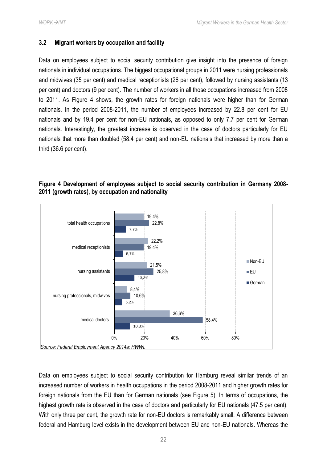# <span id="page-26-0"></span>**3.2 Migrant workers by occupation and facility**

Data on employees subject to social security contribution give insight into the presence of foreign nationals in individual occupations. The biggest occupational groups in 2011 were nursing professionals and midwives (35 per cent) and medical receptionists (26 per cent), followed by nursing assistants (13 per cent) and doctors (9 per cent). The number of workers in all those occupations increased from 2008 to 2011. As [Figure 4](#page-26-1) shows, the growth rates for foreign nationals were higher than for German nationals. In the period 2008-2011, the number of employees increased by 22.8 per cent for EU nationals and by 19.4 per cent for non-EU nationals, as opposed to only 7.7 per cent for German nationals. Interestingly, the greatest increase is observed in the case of doctors particularly for EU nationals that more than doubled (58.4 per cent) and non-EU nationals that increased by more than a third (36.6 per cent).

# <span id="page-26-1"></span>**Figure 4 Development of employees subject to social security contribution in Germany 2008- 2011 (growth rates), by occupation and nationality**



Data on employees subject to social security contribution for Hamburg reveal similar trends of an increased number of workers in health occupations in the period 2008-2011 and higher growth rates for foreign nationals from the EU than for German nationals (see [Figure 5\)](#page-27-0). In terms of occupations, the highest growth rate is observed in the case of doctors and particularly for EU nationals (47.5 per cent). With only three per cent, the growth rate for non-EU doctors is remarkably small. A difference between federal and Hamburg level exists in the development between EU and non-EU nationals. Whereas the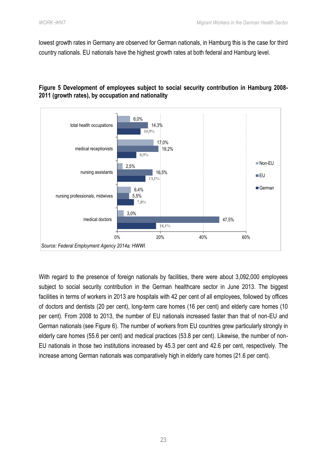lowest growth rates in Germany are observed for German nationals, in Hamburg this is the case for third country nationals. EU nationals have the highest growth rates at both federal and Hamburg level.

# <span id="page-27-0"></span>**Figure 5 Development of employees subject to social security contribution in Hamburg 2008- 2011 (growth rates), by occupation and nationality**



With regard to the presence of foreign nationals by facilities, there were about 3,092,000 employees subject to social security contribution in the German healthcare sector in June 2013. The biggest facilities in terms of workers in 2013 are hospitals with 42 per cent of all employees, followed by offices of doctors and dentists (20 per cent), long-term care homes (16 per cent) and elderly care homes (10 per cent). From 2008 to 2013, the number of EU nationals increased faster than that of non-EU and German nationals (see [Figure 6\)](#page-28-0). The number of workers from EU countries grew particularly strongly in elderly care homes (55.6 per cent) and medical practices (53.8 per cent). Likewise, the number of non-EU nationals in those two institutions increased by 45.3 per cent and 42.6 per cent, respectively. The increase among German nationals was comparatively high in elderly care homes (21.6 per cent).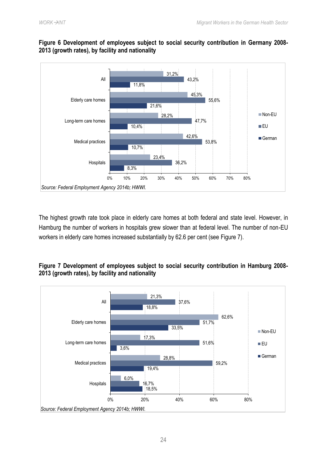

# <span id="page-28-0"></span>**Figure 6 Development of employees subject to social security contribution in Germany 2008- 2013 (growth rates), by facility and nationality**

The highest growth rate took place in elderly care homes at both federal and state level. However, in Hamburg the number of workers in hospitals grew slower than at federal level. The number of non-EU workers in elderly care homes increased substantially by 62.6 per cent (see [Figure 7\)](#page-28-1).

# <span id="page-28-1"></span>**Figure 7 Development of employees subject to social security contribution in Hamburg 2008- 2013 (growth rates), by facility and nationality**

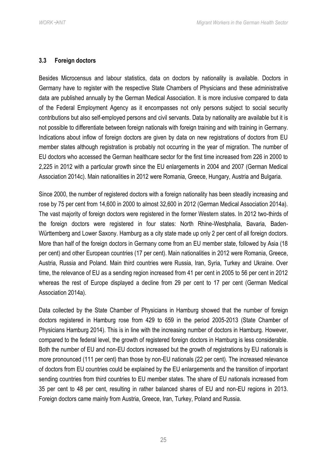#### <span id="page-29-0"></span>**3.3 Foreign doctors**

Besides Microcensus and labour statistics, data on doctors by nationality is available. Doctors in Germany have to register with the respective State Chambers of Physicians and these administrative data are published annually by the German Medical Association. It is more inclusive compared to data of the Federal Employment Agency as it encompasses not only persons subject to social security contributions but also self-employed persons and civil servants. Data by nationality are available but it is not possible to differentiate between foreign nationals with foreign training and with training in Germany. Indications about inflow of foreign doctors are given by data on new registrations of doctors from EU member states although registration is probably not occurring in the year of migration. The number of EU doctors who accessed the German healthcare sector for the first time increased from 226 in 2000 to 2,225 in 2012 with a particular growth since the EU enlargements in 2004 and 2007 (German Medical Association 2014c). Main nationalities in 2012 were Romania, Greece, Hungary, Austria and Bulgaria.

Since 2000, the number of registered doctors with a foreign nationality has been steadily increasing and rose by 75 per cent from 14,600 in 2000 to almost 32,600 in 2012 (German Medical Association 2014a). The vast majority of foreign doctors were registered in the former Western states. In 2012 two-thirds of the foreign doctors were registered in four states: North Rhine-Westphalia, Bavaria, Baden-Württemberg and Lower Saxony. Hamburg as a city state made up only 2 per cent of all foreign doctors. More than half of the foreign doctors in Germany come from an EU member state, followed by Asia (18 per cent) and other European countries (17 per cent). Main nationalities in 2012 were Romania, Greece, Austria, Russia and Poland. Main third countries were Russia, Iran, Syria, Turkey and Ukraine. Over time, the relevance of EU as a sending region increased from 41 per cent in 2005 to 56 per cent in 2012 whereas the rest of Europe displayed a decline from 29 per cent to 17 per cent (German Medical Association 2014a).

Data collected by the State Chamber of Physicians in Hamburg showed that the number of foreign doctors registered in Hamburg rose from 429 to 659 in the period 2005-2013 (State Chamber of Physicians Hamburg 2014). This is in line with the increasing number of doctors in Hamburg. However, compared to the federal level, the growth of registered foreign doctors in Hamburg is less considerable. Both the number of EU and non-EU doctors increased but the growth of registrations by EU nationals is more pronounced (111 per cent) than those by non-EU nationals (22 per cent). The increased relevance of doctors from EU countries could be explained by the EU enlargements and the transition of important sending countries from third countries to EU member states. The share of EU nationals increased from 35 per cent to 48 per cent, resulting in rather balanced shares of EU and non-EU regions in 2013. Foreign doctors came mainly from Austria, Greece, Iran, Turkey, Poland and Russia.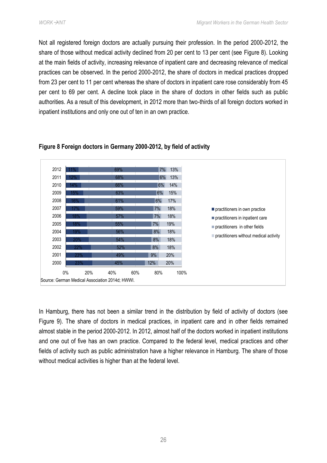Not all registered foreign doctors are actually pursuing their profession. In the period 2000-2012, the share of those without medical activity declined from 20 per cent to 13 per cent (see [Figure 8\)](#page-30-0). Looking at the main fields of activity, increasing relevance of inpatient care and decreasing relevance of medical practices can be observed. In the period 2000-2012, the share of doctors in medical practices dropped from 23 per cent to 11 per cent whereas the share of doctors in inpatient care rose considerably from 45 per cent to 69 per cent. A decline took place in the share of doctors in other fields such as public authorities. As a result of this development, in 2012 more than two-thirds of all foreign doctors worked in inpatient institutions and only one out of ten in an own practice.



# <span id="page-30-0"></span>**Figure 8 Foreign doctors in Germany 2000-2012, by field of activity**

In Hamburg, there has not been a similar trend in the distribution by field of activity of doctors (see [Figure 9\)](#page-31-1). The share of doctors in medical practices, in inpatient care and in other fields remained almost stable in the period 2000-2012. In 2012, almost half of the doctors worked in inpatient institutions and one out of five has an own practice. Compared to the federal level, medical practices and other fields of activity such as public administration have a higher relevance in Hamburg. The share of those without medical activities is higher than at the federal level.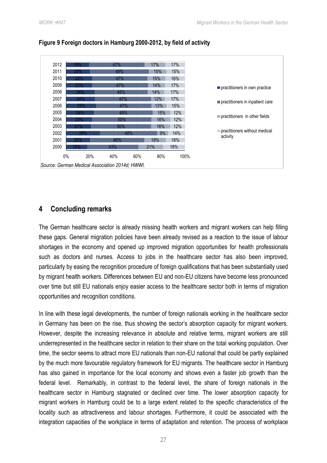

#### <span id="page-31-1"></span>**Figure 9 Foreign doctors in Hamburg 2000-2012, by field of activity**

# <span id="page-31-0"></span>**4 Concluding remarks**

The German healthcare sector is already missing health workers and migrant workers can help filling these gaps. General migration policies have been already revised as a reaction to the issue of labour shortages in the economy and opened up improved migration opportunities for health professionals such as doctors and nurses. Access to jobs in the healthcare sector has also been improved, particularly by easing the recognition procedure of foreign qualifications that has been substantially used by migrant health workers. Differences between EU and non-EU citizens have become less pronounced over time but still EU nationals enjoy easier access to the healthcare sector both in terms of migration opportunities and recognition conditions.

In line with these legal developments, the number of foreign nationals working in the healthcare sector in Germany has been on the rise, thus showing the sector's absorption capacity for migrant workers. However, despite the increasing relevance in absolute and relative terms, migrant workers are still underrepresented in the healthcare sector in relation to their share on the total working population. Over time, the sector seems to attract more EU nationals than non-EU national that could be partly explained by the much more favourable regulatory framework for EU migrants. The healthcare sector in Hamburg has also gained in importance for the local economy and shows even a faster job growth than the federal level. Remarkably, in contrast to the federal level, the share of foreign nationals in the healthcare sector in Hamburg stagnated or declined over time. The lower absorption capacity for migrant workers in Hamburg could be to a large extent related to the specific characteristics of the locality such as attractiveness and labour shortages. Furthermore, it could be associated with the integration capacities of the workplace in terms of adaptation and retention. The process of workplace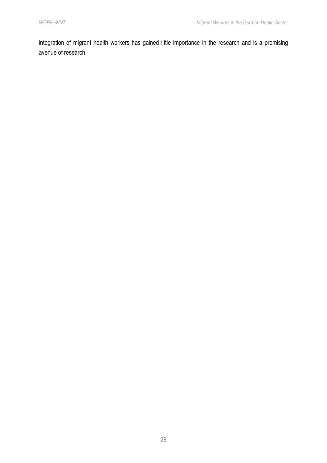integration of migrant health workers has gained little importance in the research and is a promising avenue of research.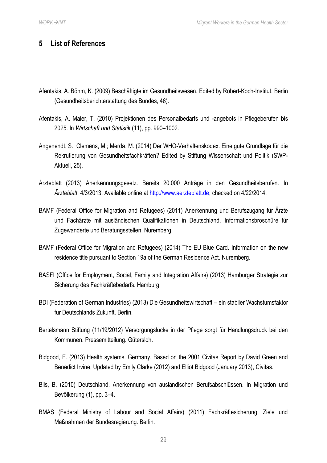# <span id="page-33-0"></span>**5 List of References**

- Afentakis, A. Böhm, K. (2009) Beschäftigte im Gesundheitswesen. Edited by Robert-Koch-Institut. Berlin (Gesundheitsberichterstattung des Bundes, 46).
- Afentakis, A. Maier, T. (2010) Projektionen des Personalbedarfs und -angebots in Pflegeberufen bis 2025. In *Wirtschaft und Statistik* (11), pp. 990–1002.
- Angenendt, S.; Clemens, M.; Merda, M. (2014) Der WHO-Verhaltenskodex. Eine gute Grundlage für die Rekrutierung von Gesundheitsfachkräften? Edited by Stiftung Wissenschaft und Politik (SWP-Aktuell, 25).
- Ärzteblatt (2013) Anerkennungsgesetz. Bereits 20.000 Anträge in den Gesundheitsberufen. In *Ärzteblatt*, 4/3/2013. Available online at [http://www.aerzteblatt.de,](http://www.aerzteblatt.de/) checked on 4/22/2014.
- BAMF (Federal Office for Migration and Refugees) (2011) Anerkennung und Berufszugang für Ärzte und Fachärzte mit ausländischen Qualifikationen in Deutschland. Informationsbroschüre für Zugewanderte und Beratungsstellen. Nuremberg.
- BAMF (Federal Office for Migration and Refugees) (2014) The EU Blue Card. Information on the new residence title pursuant to Section 19a of the German Residence Act. Nuremberg.
- BASFI (Office for Employment, Social, Family and Integration Affairs) (2013) Hamburger Strategie zur Sicherung des Fachkräftebedarfs. Hamburg.
- BDI (Federation of German Industries) (2013) Die Gesundheitswirtschaft ein stabiler Wachstumsfaktor für Deutschlands Zukunft. Berlin.
- Bertelsmann Stiftung (11/19/2012) Versorgungslücke in der Pflege sorgt für Handlungsdruck bei den Kommunen. Pressemitteilung. Gütersloh.
- Bidgood, E. (2013) Health systems. Germany. Based on the 2001 Civitas Report by David Green and Benedict Irvine, Updated by Emily Clarke (2012) and Elliot Bidgood (January 2013), Civitas.
- Bils, B. (2010) Deutschland. Anerkennung von ausländischen Berufsabschlüssen. In Migration und Bevölkerung (1), pp. 3–4.
- BMAS (Federal Ministry of Labour and Social Affairs) (2011) Fachkräftesicherung. Ziele und Maßnahmen der Bundesregierung. Berlin.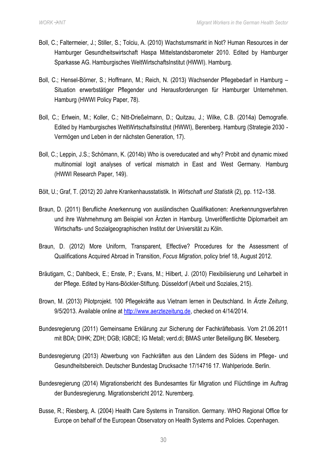- Boll, C.; Faltermeier, J.; Stiller, S.; Tolciu, A. (2010) Wachstumsmarkt in Not? Human Resources in der Hamburger Gesundheitswirtschaft Haspa Mittelstandsbarometer 2010. Edited by Hamburger Sparkasse AG. Hamburgisches WeltWirtschaftsInstitut (HWWI). Hamburg.
- Boll, C.; Hensel-Börner, S.; Hoffmann, M.; Reich, N. (2013) Wachsender Pflegebedarf in Hamburg Situation erwerbstätiger Pflegender und Herausforderungen für Hamburger Unternehmen. Hamburg (HWWI Policy Paper, 78).
- Boll, C.; Erlwein, M.; Koller, C.; Nitt-Drießelmann, D.; Quitzau, J.; Wilke, C.B. (2014a) Demografie. Edited by Hamburgisches WeltWirtschaftsInstitut (HWWI), Berenberg. Hamburg (Strategie 2030 - Vermögen und Leben in der nächsten Generation, 17).
- Boll, C.; Leppin, J.S.; Schömann, K. (2014b) Who is overeducated and why? Probit and dynamic mixed multinomial logit analyses of vertical mismatch in East and West Germany. Hamburg (HWWI Research Paper, 149).
- Bölt, U.; Graf, T. (2012) 20 Jahre Krankenhausstatistik. In *Wirtschaft und Statistik* (2), pp. 112–138.
- Braun, D. (2011) Berufliche Anerkennung von ausländischen Qualifikationen: Anerkennungsverfahren und ihre Wahrnehmung am Beispiel von Ärzten in Hamburg. Unveröffentlichte Diplomarbeit am Wirtschafts- und Sozialgeographischen Institut der Universität zu Köln.
- Braun, D. (2012) More Uniform, Transparent, Effective? Procedures for the Assessment of Qualifications Acquired Abroad in Transition, *Focus Migration*, policy brief 18, August 2012.
- Bräutigam, C.; Dahlbeck, E.; Enste, P.; Evans, M.; Hilbert, J. (2010) Flexibilisierung und Leiharbeit in der Pflege. Edited by Hans-Böckler-Stiftung. Düsseldorf (Arbeit und Soziales, 215).
- Brown, M. (2013) Pilotprojekt. 100 Pflegekräfte aus Vietnam lernen in Deutschland. In *Ärzte Zeitung*, 9/5/2013. Available online at [http://www.aerztezeitung.de,](http://www.aerztezeitung.de/) checked on 4/14/2014.
- Bundesregierung (2011) Gemeinsame Erklärung zur Sicherung der Fachkräftebasis. Vom 21.06.2011 mit BDA; DIHK; ZDH; DGB; IGBCE; IG Metall; verd.di; BMAS unter Beteiligung BK. Meseberg.
- Bundesregierung (2013) Abwerbung von Fachkräften aus den Ländern des Südens im Pflege- und Gesundheitsbereich. Deutscher Bundestag Drucksache 17/14716 17. Wahlperiode. Berlin.
- Bundesregierung (2014) Migrationsbericht des Bundesamtes für Migration und Flüchtlinge im Auftrag der Bundesregierung. Migrationsbericht 2012. Nuremberg.
- Busse, R.; Riesberg, A. (2004) Health Care Systems in Transition. Germany. WHO Regional Office for Europe on behalf of the European Observatory on Health Systems and Policies. Copenhagen.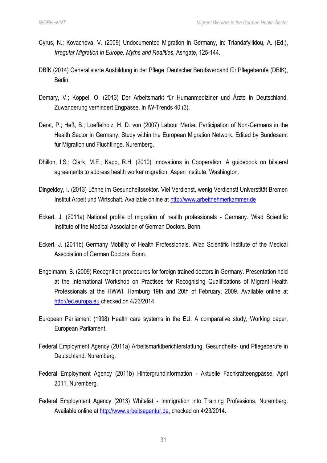- Cyrus, N.; Kovacheva, V. (2009) Undocumented Migration in Germany, in: Triandafyllidou, A. (Ed.), *Irregular Migration in Europe. Myths and Realities*, Ashgate, 125-144.
- DBfK (2014) Generalisierte Ausbildung in der Pflege, Deutscher Berufsverband für Pflegeberufe (DBfK), Berlin.
- Demary, V.; Koppel, O. (2013) Der Arbeitsmarkt für Humanmediziner und Ärzte in Deutschland. Zuwanderung verhindert Engpässe. In IW-Trends 40 (3).
- Derst, P.; Heß, B.; Loeffelholz, H. D. von (2007) Labour Market Participation of Non-Germans in the Health Sector in Germany. Study within the European Migration Network. Edited by Bundesamt für Migration und Flüchtlinge. Nuremberg.
- Dhillon, I.S.; Clark, M.E.; Kapp, R.H. (2010) Innovations in Cooperation. A guidebook on bilateral agreements to address health worker migration. Aspen Institute. Washington.
- Dingeldey, I. (2013) Löhne im Gesundheitssektor. Viel Verdienst, wenig Verdienst! Universtität Bremen Institut Arbeit und Wirtschaft. Available online at [http://www.arbeitnehmerkammer.de](http://www.arbeitnehmerkammer.de/politikthemen/arbeit-soziales/arbeitsmarkt/20131001_bam_7_13_loehne-im-gesundheitssektor.html,%20checked%20on%205/7/2014.)
- Eckert, J. (2011a) National profile of migration of health professionals Germany. Wiad Scientific Institute of the Medical Association of German Doctors. Bonn.
- Eckert, J. (2011b) Germany Mobility of Health Professionals. Wiad Scientific Institute of the Medical Association of German Doctors. Bonn.
- Engelmann, B. (2009) Recognition procedures for foreign trained doctors in Germany. Presentation held at the International Workshop on Practises for Recognising Qualifications of Migrant Health Professionals at the HWWI, Hamburg 19th and 20th of February, 2009. Available online at [http://ec.europa.eu](http://ec.europa.eu/health/archive/ph_systems/docs/turantur_en.pdf,%20checked%20on%204/23/2014.) checked on 4/23/2014.
- European Parliament (1998) Health care systems in the EU. A comparative study, Working paper, European Parliament.
- Federal Employment Agency (2011a) Arbeitsmarktberichterstattung. Gesundheits- und Pflegeberufe in Deutschland. Nuremberg.
- Federal Employment Agency (2011b) Hintergrundinformation Aktuelle Fachkräfteengpässe. April 2011. Nuremberg.
- Federal Employment Agency (2013) Whitelist Immigration into Training Professions. Nuremberg. Available online at [http://www.arbeitsagentur.de,](http://www.arbeitsagentur.de/Dienststellen/besondere-Dst/ZAV/downloads/AMZ/amz-positivliste) checked on 4/23/2014.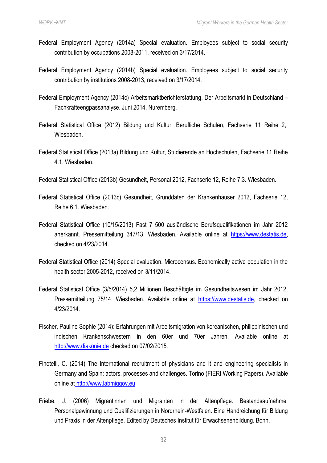- Federal Employment Agency (2014a) Special evaluation. Employees subject to social security contribution by occupations 2008-2011, received on 3/17/2014.
- Federal Employment Agency (2014b) Special evaluation. Employees subject to social security contribution by institutions 2008-2013, received on 3/17/2014.
- Federal Employment Agency (2014c) Arbeitsmarktberichterstattung. Der Arbeitsmarkt in Deutschland Fachkräfteengpassanalyse. Juni 2014. Nuremberg.
- Federal Statistical Office (2012) Bildung und Kultur, Berufliche Schulen, Fachserie 11 Reihe 2,. Wiesbaden.
- Federal Statistical Office (2013a) Bildung und Kultur, Studierende an Hochschulen, Fachserie 11 Reihe 4.1. Wiesbaden.
- Federal Statistical Office (2013b) Gesundheit, Personal 2012, Fachserie 12, Reihe 7.3. Wiesbaden.
- Federal Statistical Office (2013c) Gesundheit, Grunddaten der Krankenhäuser 2012, Fachserie 12, Reihe 6.1. Wiesbaden.
- Federal Statistical Office (10/15/2013) Fast 7 500 ausländische Berufsqualifikationen im Jahr 2012 anerkannt. Pressemitteilung 347/13. Wiesbaden. Available online at [https://www.destatis.de,](https://www.destatis.de/DE/PresseService/Presse/Pressemitteilungen/2013/10/PD13_347_212.html) checked on 4/23/2014.
- Federal Statistical Office (2014) Special evaluation. Microcensus. Economically active population in the health sector 2005-2012, received on 3/11/2014.
- Federal Statistical Office (3/5/2014) 5,2 Millionen Beschäftigte im Gesundheitswesen im Jahr 2012. Pressemitteilung 75/14. Wiesbaden. Available online at [https://www.destatis.de,](https://www.destatis.de/DE/PresseService/Presse/Pressemitteilungen/2014/03/PD14_075_23621pdf.pdf?__blob=publicationFile) checked on 4/23/2014.
- Fischer, Pauline Sophie (2014): Erfahrungen mit Arbeitsmigration von koreanischen, philippinischen und indischen Krankenschwestern in den 60er und 70er Jahren. Available online at [http://www.diakonie.de](http://www.diakonie.de/erfahrungen-mit-arbeitsmigration-in-den-60er-70er-jahren-15396.html) checked on 07/02/2015.
- Finotelli, C. (2014) The international recruitment of physicians and it and engineering specialists in Germany and Spain: actors, processes and challenges. Torino (FIERI Working Papers). Available online at [http://www.labmiggov.eu](http://www.labmiggov.eu/wp-content/uploads/2012/05/CFinotelli-High-Skilled-Migration-in-Germany-and-Spain-REV-FPchecked-CF-1_edited-17-02-2014.pdf)
- Friebe, J. (2006) Migrantinnen und Migranten in der Altenpflege. Bestandsaufnahme, Personalgewinnung und Qualifizierungen in Nordrhein-Westfalen. Eine Handreichung für Bildung und Praxis in der Altenpflege. Edited by Deutsches Institut für Erwachsenenbildung. Bonn.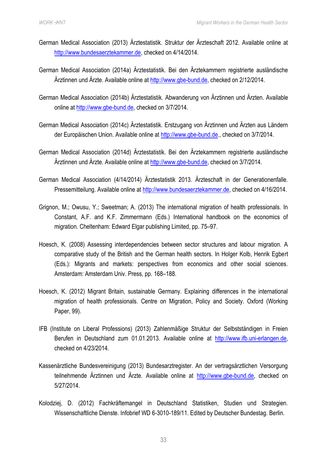- German Medical Association (2013) Ärztestatistik. Struktur der Ärzteschaft 2012. Available online at [http://www.bundesaerztekammer.de,](http://www.bundesaerztekammer.de/page.asp?his=3.71.11855.12030.12031) checked on 4/14/2014.
- German Medical Association (2014a) Ärztestatistik. Bei den Ärztekammern registrierte ausländische Ärztinnen und Ärzte. Available online at [http://www.gbe-bund.de,](http://www.gbe-bund.de/) checked on 2/12/2014.
- German Medical Association (2014b) Ärztestatistik. Abwanderung von Ärztinnen und Ärzten. Available online at [http://www.gbe-bund.de,](http://www.gbe-bund.de/) checked on 3/7/2014.
- German Medical Association (2014c) Ärztestatistik. Erstzugang von Ärztinnen und Ärzten aus Ländern der Europäischen Union. Available online at [http://www.gbe-bund.de.](http://www.gbe-bund.de/), checked on 3/7/2014.
- German Medical Association (2014d) Ärztestatistik. Bei den Ärztekammern registrierte ausländische Ärztinnen und Ärzte. Available online at [http://www.gbe-bund.de,](http://www.gbe-bund.de/) checked on 3/7/2014.
- German Medical Association (4/14/2014) Ärztestatistik 2013. Ärzteschaft in der Generationenfalle. Pressemitteilung. Available online at [http://www.bundesaerztekammer.de,](http://www.bundesaerztekammer.de/page.asp?his=3.71.11855.12030.12031) checked on 4/16/2014.
- Grignon, M.; Owusu, Y.; Sweetman; A. (2013) The international migration of health professionals. In Constant, A.F. and K.F. Zimmermann (Eds.) International handbook on the economics of migration. Cheltenham: Edward Elgar publishing Limited, pp. 75–97.
- Hoesch, K. (2008) Assessing interdependencies between sector structures and labour migration. A comparative study of the British and the German health sectors. In Holger Kolb, Henrik Egbert (Eds.): Migrants and markets: perspectives from economics and other social sciences. Amsterdam: Amsterdam Univ. Press, pp. 168–188.
- Hoesch, K. (2012) Migrant Britain, sustainable Germany. Explaining differences in the international migration of health professionals. Centre on Migration, Policy and Society. Oxford (Working Paper, 99).
- IFB (Institute on Liberal Professions) (2013) Zahlenmäßige Struktur der Selbstständigen in Freien Berufen in Deutschland zum 01.01.2013. Available online at [http://www.ifb.uni-erlangen.de,](http://www.ifb.uni-erlangen.de/fileadmin/ifb/pic/statistiken/2009/selbst-fb-brd-STRUK2011_akt_28_6_2011.pdf) checked on 4/23/2014.
- Kassenärztliche Bundesvereinigung (2013) Bundesarztregister. An der vertragsärztlichen Versorgung teilnehmende Ärztinnen und Ärzte. Available online at [http://www.gbe-bund.de,](http://www.gbe-bund.de/) checked on 5/27/2014.
- Kolodziej, D. (2012) Fachkräftemangel in Deutschland Statistiken, Studien und Strategien. Wissenschaftliche Dienste. Infobrief WD 6-3010-189/11. Edited by Deutscher Bundestag. Berlin.